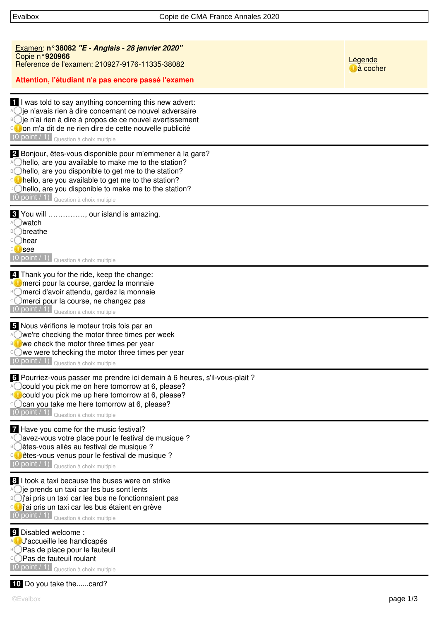| Examen: n°38082 "E - Anglais - 28 janvier 2020"<br>Copie n°920966<br>Reference de l'examen: 210927-9176-11335-38082<br>Attention, l'étudiant n'a pas encore passé l'examen                                                                                                                                                                                                     | Légende<br><b>J</b> à cocher |
|--------------------------------------------------------------------------------------------------------------------------------------------------------------------------------------------------------------------------------------------------------------------------------------------------------------------------------------------------------------------------------|------------------------------|
| I I was told to say anything concerning this new advert:<br>Aoje n'avais rien à dire concernant ce nouvel adversaire<br><sup>B</sup> ie n'ai rien à dire à propos de ce nouvel avertissement<br>ou on m'a dit de ne rien dire de cette nouvelle publicité<br>$(0 \text{ point}/1)$ Question à choix multiple                                                                   |                              |
| 2 Bonjour, êtes-vous disponible pour m'emmener à la gare?<br>A hello, are you available to make me to the station?<br><sup>B</sup> Ohello, are you disponible to get me to the station?<br><b>Co</b> hello, are you available to get me to the station?<br><b>□○</b> hello, are you disponible to make me to the station?<br>$(0 \text{ point } (1)$ Question à choix multiple |                              |
| 8 You will , our island is amazing.<br>A watch<br><b>B</b> Obreathe<br>C <b>hear</b><br>D <b>U</b> see<br>$(0 \text{ point } (1)$ Question à choix multiple                                                                                                                                                                                                                    |                              |
| 4. Thank you for the ride, keep the change:<br>AC merci pour la course, gardez la monnaie<br>merci d'avoir attendu, gardez la monnaie<br>merci pour la course, ne changez pas<br>$(0 point / 1)$ Question à choix multiple                                                                                                                                                     |                              |
| 5 Nous vérifions le moteur trois fois par an<br>A we're checking the motor three times per week<br><b>BO</b> we check the motor three times per year<br>©we were tchecking the motor three times per year<br>$(0 \text{ point } (1)$ Question à choix multiple                                                                                                                 |                              |
| 6 Pourriez-vous passer me prendre ici demain à 6 heures, s'il-vous-plait ?<br>A Could you pick me on here tomorrow at 6, please?<br><b>BO</b> could you pick me up here tomorrow at 6, please?<br>Ccan you take me here tomorrow at 6, please?<br>$(0 point / 1)$ Question à choix multiple                                                                                    |                              |
| 7 Have you come for the music festival?<br>avez-vous votre place pour le festival de musique ?<br>étes-vous allés au festival de musique ?<br><sup>ci</sup> êtes-vous venus pour le festival de musique?<br>$(0 \text{ point} / 1)$ Question à choix multiple                                                                                                                  |                              |
| 8 I took a taxi because the buses were on strike<br>$\bigcirc$ ie prends un taxi car les bus sont lents<br><sup>B</sup> oj'ai pris un taxi car les bus ne fonctionnaient pas<br>Co j'ai pris un taxi car les bus étaient en grève<br>$(0 \text{ point } (1)$ Question à choix multiple                                                                                         |                              |
| 9 Disabled welcome :<br>AUJ accueille les handicapés<br><b>BOPas de place pour le fauteuil</b><br><b>CPas de fauteuil roulant</b><br>$(0 point / 1)$ Question à choix multiple                                                                                                                                                                                                 |                              |
|                                                                                                                                                                                                                                                                                                                                                                                |                              |

 **10** Do you take the......card?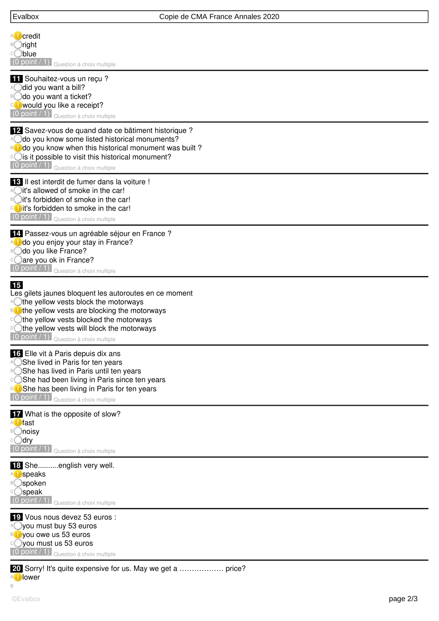| Evalbox                                                                                                                                                                                                                                                                                                                                    | Copie de CMA France Annales 2020 |
|--------------------------------------------------------------------------------------------------------------------------------------------------------------------------------------------------------------------------------------------------------------------------------------------------------------------------------------------|----------------------------------|
| <b>A</b> Credit<br><sup>B</sup> ∪right<br>COblue<br>$(0 \text{ point } / 1)$ Question à choix multiple                                                                                                                                                                                                                                     |                                  |
| 11 Souhaitez-vous un reçu ?<br>A did you want a bill?<br><sup>B</sup> odo you want a ticket?<br><b>Co</b> would you like a receipt?<br>$(0 point / 1)$ Question à choix multiple                                                                                                                                                           |                                  |
| 12 Savez-vous de quand date ce bâtiment historique?<br>A do you know some listed historical monuments?<br>do you know when this historical monument was built?<br><sup>c</sup> C is it possible to visit this historical monument?<br>$(0 \text{ point} / 1)$ Question à choix multiple                                                    |                                  |
| <b>18</b> Il est interdit de fumer dans la voiture !<br>A it's allowed of smoke in the car!<br><b>B</b> it's forbidden of smoke in the car!<br>cott's forbidden to smoke in the car!<br>$(0 \text{ point}/1)$ Question à choix multiple                                                                                                    |                                  |
| 14 Passez-vous un agréable séjour en France ?<br>do you enjoy your stay in France?<br><b>B</b> Odo you like France?<br><sup>c</sup> are you ok in France?<br>(0 point / 1) Question à choix multiple                                                                                                                                       |                                  |
| <b>15</b><br>Les gilets jaunes bloquent les autoroutes en ce moment<br>A the yellow vests block the motorways<br><b>BOthe yellow vests are blocking the motorways</b><br><b>Changellow vests blocked the motorways</b><br><b>Doltary</b> of the yellow vests will block the motorways<br>$(0 \text{ point } 71)$ Question à choix multiple |                                  |
| 16 Elle vit à Paris depuis dix ans<br>A She lived in Paris for ten years<br><b>B</b> She has lived in Paris until ten years<br><b>She had been living in Paris since ten years</b><br>She has been living in Paris for ten years<br>$(0 point / 1)$ Question à choix multiple                                                              |                                  |
| <b>17</b> What is the opposite of slow?<br>A <b>U</b> fast<br><sup>B</sup> ◯noisy<br>c⊖dry<br>(0 point / 1)<br>Question à choix multiple                                                                                                                                                                                                   |                                  |
| 18 Sheenglish very well.<br><b>A</b> speaks<br><sup>B</sup> ○spoken<br>©speak<br>$(0 \text{ point} / 1)$ Question à choix multiple                                                                                                                                                                                                         |                                  |
| E Vous nous devez 53 euros :<br>A you must buy 53 euros<br><b>BUyou owe us 53 euros</b><br>○ you must us 53 euros<br>(0 point / 1) Question à choix multiple                                                                                                                                                                               |                                  |
| 20 Sorry! It's quite expensive for us. May we get a  price?<br>lower                                                                                                                                                                                                                                                                       |                                  |

B